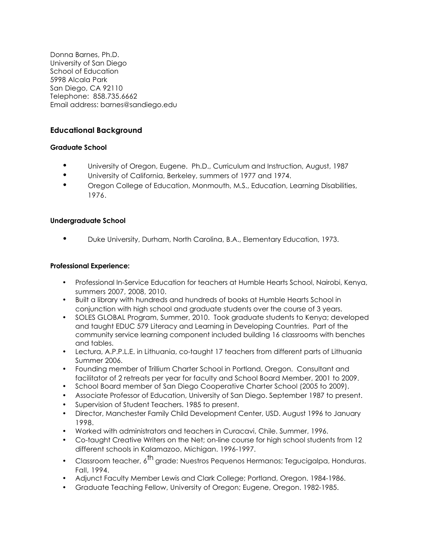Donna Barnes, Ph.D. University of San Diego School of Education 5998 Alcala Park San Diego, CA 92110 Telephone: 858.735.6662 Email address: barnes@sandiego.edu

# **Educational Background**

## **Graduate School**

- University of Oregon, Eugene. Ph.D., Curriculum and Instruction, August, 1987
- University of California, Berkeley, summers of 1977 and 1974.
- Oregon College of Education, Monmouth, M.S., Education, Learning Disabilities, 1976.

## **Undergraduate School**

• Duke University, Durham, North Carolina, B.A., Elementary Education, 1973.

## **Professional Experience:**

- Professional In-Service Education for teachers at Humble Hearts School, Nairobi, Kenya, summers 2007, 2008, 2010.
- Built a library with hundreds and hundreds of books at Humble Hearts School in conjunction with high school and graduate students over the course of 3 years.
- SOLES GLOBAL Program, Summer, 2010. Took graduate students to Kenya; developed and taught EDUC 579 Literacy and Learning in Developing Countries. Part of the community service learning component included building 16 classrooms with benches and tables.
- Lectura, A.P.P.L.E. in Lithuania, co-taught 17 teachers from different parts of Lithuania Summer 2006.
- Founding member of Trillium Charter School in Portland, Oregon. Consultant and facilitator of 2 retreats per year for faculty and School Board Member, 2001 to 2009.
- School Board member of San Diego Cooperative Charter School (2005 to 2009).
- Associate Professor of Education, University of San Diego. September 1987 to present.
- Supervision of Student Teachers. 1985 to present.
- Director, Manchester Family Child Development Center, USD. August 1996 to January 1998.
- Worked with administrators and teachers in Curacavi, Chile. Summer, 1996.
- Co-taught Creative Writers on the Net; on-line course for high school students from 12 different schools in Kalamazoo, Michigan. 1996-1997.
- Classroom teacher,  $6^{\text{th}}$  grade: Nuestros Pequenos Hermanos; Tegucigalpa, Honduras. Fall, 1994.
- Adjunct Faculty Member Lewis and Clark College; Portland, Oregon. 1984-1986.
- Graduate Teaching Fellow, University of Oregon; Eugene, Oregon. 1982-1985.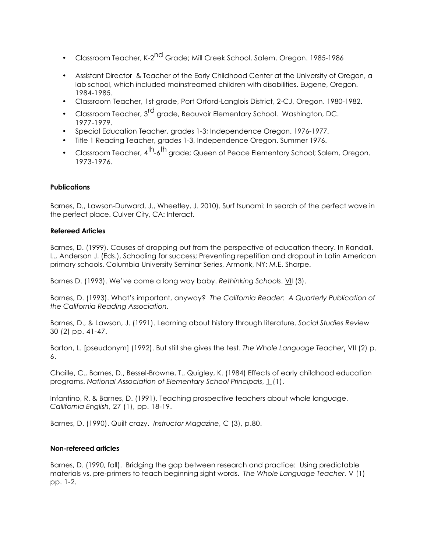- Classroom Teacher, K-2<sup>nd</sup> Grade; Mill Creek School, Salem, Oregon. 1985-1986
- Assistant Director & Teacher of the Early Childhood Center at the University of Oregon, a lab school, which included mainstreamed children with disabilities. Eugene, Oregon. 1984-1985.
- Classroom Teacher, 1st grade, Port Orford-Langlois District, 2-CJ, Oregon. 1980-1982.
- Classroom Teacher, 3<sup>rd</sup> grade, Beauvoir Elementary School. Washington, DC. 1977-1979.
- Special Education Teacher, grades 1-3; Independence Oregon. 1976-1977.
- Title 1 Reading Teacher, grades 1-3, Independence Oregon. Summer 1976.
- Classroom Teacher, 4<sup>th</sup>-6<sup>th</sup> grade: Queen of Peace Elementary School: Salem, Oregon. 1973-1976.

## **Publications**

Barnes, D., Lawson-Durward, J., Wheetley, J. 2010). Surf tsunami: In search of the perfect wave in the perfect place. Culver City, CA: Interact.

### **Refereed Articles**

Barnes, D. (1999). Causes of dropping out from the perspective of education theory. In Randall, L., Anderson J. (Eds.), Schooling for success; Preventing repetition and dropout in Latin American primary schools. Columbia University Seminar Series, Armonk, NY: M.E. Sharpe.

Barnes D. (1993). We've come a long way baby. *Rethinking Schools*. VII (3).

Barnes, D. (1993). What's important, anyway? *The California Reader: A Quarterly Publication of the California Reading Association.*

Barnes, D., & Lawson, J. (1991). Learning about history through literature. *Social Studies Review* 30 (2) pp. 41-47.

Barton, L. [pseudonym] (1992). But still she gives the test. *The Whole Language Teacher*, VII (2) p. 6.

Chaille, C., Barnes, D., Bessel-Browne, T., Quigley, K. (1984) Effects of early childhood education programs. *National Association of Elementary School Principals*, 1 (1).

Infantino, R. & Barnes, D. (1991). Teaching prospective teachers about whole language. *Calilfornia English*, 27 (1), pp. 18-19.

Barnes, D. (1990). Quilt crazy. *Instructor Magazine*, C (3), p.80.

## **Non-refereed articles**

Barnes, D. (1990, fall). Bridging the gap between research and practice: Using predictable materials vs. pre-primers to teach beginning sight words. *The Whole Language Teacher*, V (1) pp. 1-2.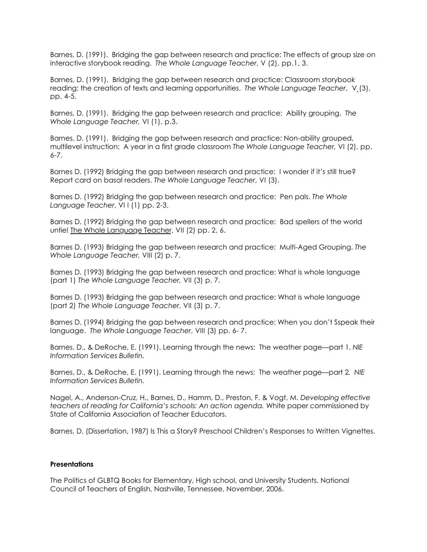Barnes, D. (1991). Bridging the gap between research and practice: The effects of group size on interactive storybook reading. *The Whole Language Teacher*, V (2), pp.1, 3.

Barnes, D. (1991). Bridging the gap between research and practice: Classroom storybook reading: the creation of texts and learning opportunities. *The Whole Language Teacher*, V (3), pp. 4-5.

Barnes, D. (1991). Bridging the gap between research and practice: Ability grouping. *The Whole Language Teacher,* VI (1), p.3.

Barnes, D. (1991). Bridging the gap between research and practice: Non-ability grouped, multilevel instruction: A year in a first grade classroom *The Whole Language Teacher,* VI (2), pp. 6-7.

Barnes D. (1992) Bridging the gap between research and practice: I wonder if it's still true? Report card on basal readers. *The Whole Language Teacher*, VI (3).

Barnes D. (1992) Bridging the gap between research and practice: Pen pals. *The Whole Language Teacher*, VI I (1) pp. 2-3.

Barnes D. (1992) Bridging the gap between research and practice: Bad spellers of the world untie! The Whole Language Teacher, VII (2) pp. 2, 6.

Barnes D. (1993) Bridging the gap between research and practice: Multi-Aged Grouping. *The Whole Language Teacher,* VIII (2) p. 7.

Barnes D. (1993) Bridging the gap between research and practice: What is whole language (part 1) *The Whole Language Teacher,* VII (3) p. 7.

Barnes D. (1993) Bridging the gap between research and practice: What is whole language (part 2) *The Whole Language Teacher*, VII (3) p. 7.

Barnes D. (1994) Bridging the gap between research and practice: When you don't Sspeak their language. *The Whole Language Teacher*, VIII (3) pp. 6- 7.

Barnes, D., & DeRoche, E. (1991). Learning through the news: The weather page—part 1. *NIE Information Services Bulletin.* 

Barnes, D., & DeRoche, E. (1991). Learning through the news: The weather page—part 2*. NIE Information Services Bulletin.* 

Nagel, A., Anderson-Cruz, H., Barnes, D., Hamm, D., Preston, F. & Vogt, M. *Developing effective teachers of reading for California's schools: An action agenda.* White paper commissioned by State of California Association of Teacher Educators.

Barnes, D. (Dissertation, 1987) Is This a Story? Preschool Children's Responses to Written Vignettes.

### **Presentations**

The Politics of GLBTQ Books for Elementary, High school, and University Students. National Council of Teachers of English, Nashville, Tennessee, November, 2006.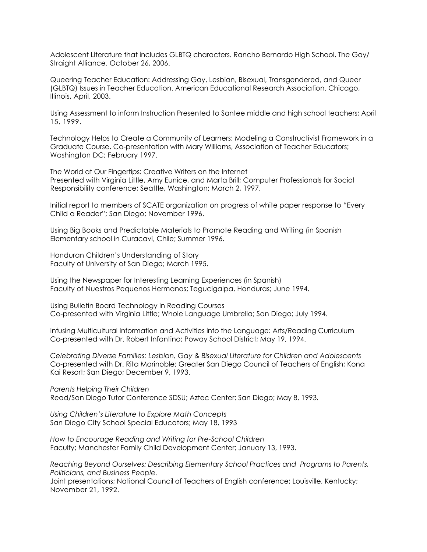Adolescent Literature that includes GLBTQ characters. Rancho Bernardo High School. The Gay/ Straight Alliance. October 26, 2006.

Queering Teacher Education: Addressing Gay, Lesbian, Bisexual, Transgendered, and Queer (GLBTQ) Issues in Teacher Education. American Educational Research Association. Chicago, Illinois, April, 2003.

Using Assessment to inform Instruction Presented to Santee middle and high school teachers; April 15, 1999.

Technology Helps to Create a Community of Learners: Modeling a Constructivist Framework in a Graduate Course. Co-presentation with Mary Williams, Association of Teacher Educators; Washington DC; February 1997.

The World at Our Fingertips: Creative Writers on the Internet Presented with Virginia Little, Amy Eunice, and Marta Brill; Computer Professionals for Social Responsibility conference; Seattle, Washington; March 2, 1997.

Initial report to members of SCATE organization on progress of white paper response to "Every Child a Reader"; San Diego; November 1996.

Using Big Books and Predictable Materials to Promote Reading and Writing (in Spanish Elementary school in Curacavi, Chile; Summer 1996.

Honduran Children's Understanding of Story Faculty of University of San Diego; March 1995.

Using the Newspaper for Interesting Learning Experiences (in Spanish) Faculty of Nuestros Pequenos Hermanos; Tegucigalpa, Honduras; June 1994.

Using Bulletin Board Technology in Reading Courses Co-presented with Virginia Little; Whole Language Umbrella; San Diego; July 1994.

Infusing Multicultural Information and Activities into the Language: Arts/Reading Curriculum Co-presented with Dr. Robert Infantino; Poway School District; May 19, 1994.

*Celebrating Diverse Families: Lesbian, Gay & Bisexual Literature for Children and Adolescents* Co-presented with Dr. Rita Marinoble; Greater San Diego Council of Teachers of English; Kona Kai Resort; San Diego; December 9, 1993.

*Parents Helping Their Children* Read/San Diego Tutor Conference SDSU; Aztec Center; San Diego; May 8, 1993.

*Using Children's Literature to Explore Math Concepts* San Diego City School Special Educators; May 18, 1993

*How to Encourage Reading and Writing for Pre-School Children* Faculty; Manchester Family Child Development Center; January 13, 1993.

*Reaching Beyond Ourselves: Describing Elementary School Practices and Programs to Parents, Politicians, and Business People.*

Joint presentations; National Council of Teachers of English conference; Louisville, Kentucky; November 21, 1992.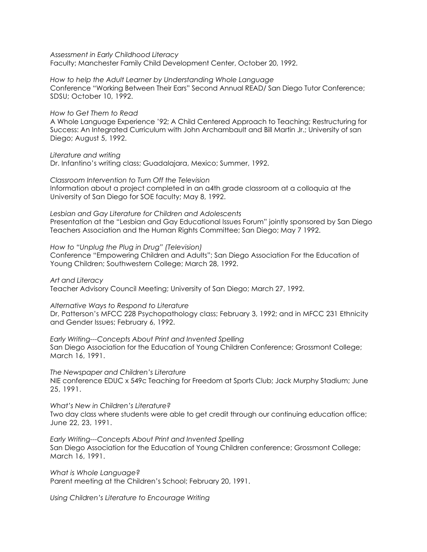*Assessment in Early Childhood Literacy*

Faculty; Manchester Family Child Development Center, October 20, 1992.

*How to help the Adult Learner by Understanding Whole Language* Conference "Working Between Their Ears" Second Annual READ/ San Diego Tutor Conference; SDSU; October 10, 1992.

*How to Get Them to Read*

A Whole Language Experience '92; A Child Centered Approach to Teaching; Restructuring for Success: An Integrated Curriculum with John Archambault and Bill Martin Jr.; University of san Diego; August 5, 1992.

*Literature and writing* Dr. Infantino's writing class; Guadalajara, Mexico; Summer, 1992.

*Classroom Intervention to Turn Off the Television* Information about a project completed in an a4th grade classroom at a colloquia at the University of San Diego for SOE faculty; May 8, 1992.

*Lesbian and Gay Literature for Children and Adolescents*  Presentation at the "Lesbian and Gay Educational Issues Forum" jointly sponsored by San Diego Teachers Association and the Human Rights Committee; San Diego; May 7 1992.

*How to "Unplug the Plug in Drug" (Television)* Conference "Empowering Children and Adults"; San Diego Association For the Education of Young Children; Southwestern College; March 28, 1992.

*Art and Literacy* Teacher Advisory Council Meeting; University of San Diego; March 27, 1992.

*Alternative Ways to Respond to Literature* Dr, Patterson's MFCC 228 Psychopathology class; February 3, 1992; and in MFCC 231 Ethnicity and Gender Issues; February 6, 1992.

*Early Writing---Concepts About Print and Invented Spelling* San Diego Association for the Education of Young Children Conference; Grossmont College; March 16, 1991.

*The Newspaper and Children's Literature* NIE conference EDUC x 549c Teaching for Freedom at Sports Club; Jack Murphy Stadium; June 25, 1991.

*What's New in Children's Literature?* Two day class where students were able to get credit through our continuing education office; June 22, 23, 1991.

*Early Writing---Concepts About Print and Invented Spelling* San Diego Association for the Education of Young Children conference; Grossmont College; March 16, 1991.

*What is Whole Language?* Parent meeting at the Children's School; February 20, 1991.

*Using Children's Literature to Encourage Writing*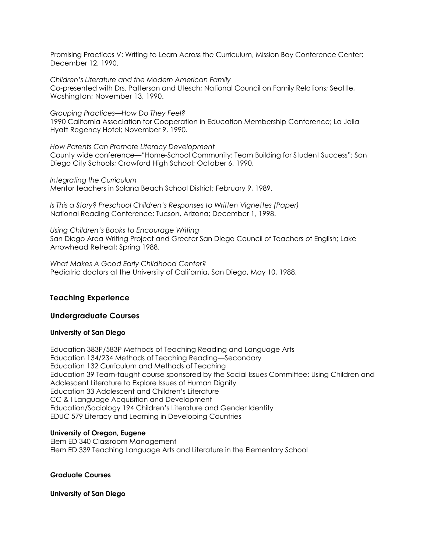Promising Practices V: Writing to Learn Across the Curriculum, Mission Bay Conference Center; December 12, 1990.

*Children's Literature and the Modern American Family* Co-presented with Drs. Patterson and Utesch; National Council on Family Relations; Seattle, Washington; November 13, 1990.

*Grouping Practices—How Do They Feel?* 1990 California Association for Cooperation in Education Membership Conference; La Jolla Hyatt Regency Hotel; November 9, 1990.

*How Parents Can Promote Literacy Development* County wide conference—"Home-School Community: Team Building for Student Success"; San Diego City Schools; Crawford High School; October 6, 1990.

*Integrating the Curriculum* Mentor teachers in Solana Beach School District; February 9, 1989.

*Is This a Story? Preschool Children's Responses to Written Vignettes (Paper)* National Reading Conference; Tucson, Arizona; December 1, 1998.

*Using Children's Books to Encourage Writing* San Diego Area Writing Project and Greater San Diego Council of Teachers of English; Lake Arrowhead Retreat; Spring 1988.

*What Makes A Good Early Childhood Center*? Pediatric doctors at the University of California, San Diego, May 10, 1988.

## **Teaching Experience**

## **Undergraduate Courses**

## **University of San Diego**

Education 383P/583P Methods of Teaching Reading and Language Arts Education 134/234 Methods of Teaching Reading—Secondary Education 132 Curriculum and Methods of Teaching Education 39 Team-taught course sponsored by the Social Issues Committee: Using Children and Adolescent Literature to Explore Issues of Human Dignity Education 33 Adolescent and Children's Literature CC & I Language Acquisition and Development Education/Sociology 194 Children's Literature and Gender Identity EDUC 579 Literacy and Learning in Developing Countries

## **University of Oregon, Eugene**

Elem ED 340 Classroom Management Elem ED 339 Teaching Language Arts and Literature in the Elementary School

#### **Graduate Courses**

**University of San Diego**